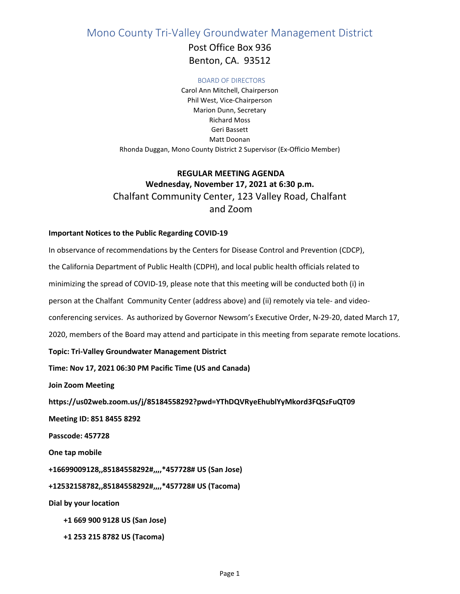Mono County Tri-Valley Groundwater Management District

Post Office Box 936 Benton, CA. 93512

#### BOARD OF DIRECTORS

Carol Ann Mitchell, Chairperson Phil West, Vice-Chairperson Marion Dunn, Secretary Richard Moss Geri Bassett Matt Doonan Rhonda Duggan, Mono County District 2 Supervisor (Ex-Officio Member)

# **REGULAR MEETING AGENDA Wednesday, November 17, 2021 at 6:30 p.m.** Chalfant Community Center, 123 Valley Road, Chalfant and Zoom

#### **Important Notices to the Public Regarding COVID-19**

In observance of recommendations by the Centers for Disease Control and Prevention (CDCP), the California Department of Public Health (CDPH), and local public health officials related to minimizing the spread of COVID-19, please note that this meeting will be conducted both (i) in person at the Chalfant Community Center (address above) and (ii) remotely via tele- and videoconferencing services. As authorized by Governor Newsom's Executive Order, N-29-20, dated March 17, 2020, members of the Board may attend and participate in this meeting from separate remote locations. **Topic: Tri-Valley Groundwater Management District Time: Nov 17, 2021 06:30 PM Pacific Time (US and Canada) Join Zoom Meeting https://us02web.zoom.us/j/85184558292?pwd=YThDQVRyeEhublYyMkord3FQSzFuQT09 Meeting ID: 851 8455 8292 Passcode: 457728 One tap mobile +16699009128,,85184558292#,,,,\*457728# US (San Jose) +12532158782,,85184558292#,,,,\*457728# US (Tacoma) Dial by your location +1 669 900 9128 US (San Jose)**

 **+1 253 215 8782 US (Tacoma)**